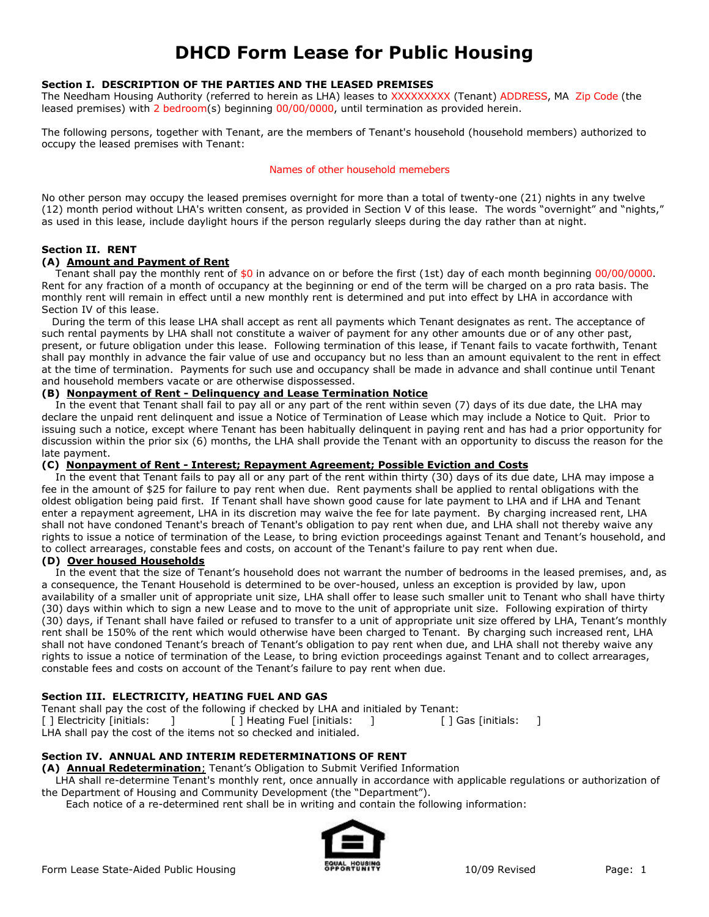# **DHCD Form Lease for Public Housing**

### **Section I. DESCRIPTION OF THE PARTIES AND THE LEASED PREMISES**

The Needham Housing Authority (referred to herein as LHA) leases to XXXXXXXXX (Tenant) ADDRESS, MA Zip Code (the leased premises) with 2 bedroom(s) beginning 00/00/0000, until termination as provided herein.

The following persons, together with Tenant, are the members of Tenant's household (household members) authorized to occupy the leased premises with Tenant:

#### Names of other household memebers

No other person may occupy the leased premises overnight for more than a total of twenty-one (21) nights in any twelve (12) month period without LHA's written consent, as provided in Section V of this lease. The words "overnight" and "nights," as used in this lease, include daylight hours if the person regularly sleeps during the day rather than at night.

### **Section II. RENT**

#### **(A) Amount and Payment of Rent**

Tenant shall pay the monthly rent of  $$0$  in advance on or before the first (1st) day of each month beginning  $00/00/0000$ . Rent for any fraction of a month of occupancy at the beginning or end of the term will be charged on a pro rata basis. The monthly rent will remain in effect until a new monthly rent is determined and put into effect by LHA in accordance with Section IV of this lease.

 During the term of this lease LHA shall accept as rent all payments which Tenant designates as rent. The acceptance of such rental payments by LHA shall not constitute a waiver of payment for any other amounts due or of any other past, present, or future obligation under this lease. Following termination of this lease, if Tenant fails to vacate forthwith, Tenant shall pay monthly in advance the fair value of use and occupancy but no less than an amount equivalent to the rent in effect at the time of termination. Payments for such use and occupancy shall be made in advance and shall continue until Tenant and household members vacate or are otherwise dispossessed.

#### **(B) Nonpayment of Rent - Delinquency and Lease Termination Notice**

 In the event that Tenant shall fail to pay all or any part of the rent within seven (7) days of its due date, the LHA may declare the unpaid rent delinquent and issue a Notice of Termination of Lease which may include a Notice to Quit. Prior to issuing such a notice, except where Tenant has been habitually delinquent in paying rent and has had a prior opportunity for discussion within the prior six (6) months, the LHA shall provide the Tenant with an opportunity to discuss the reason for the late payment.

#### **(C) Nonpayment of Rent - Interest; Repayment Agreement; Possible Eviction and Costs**

 In the event that Tenant fails to pay all or any part of the rent within thirty (30) days of its due date, LHA may impose a fee in the amount of \$25 for failure to pay rent when due. Rent payments shall be applied to rental obligations with the oldest obligation being paid first. If Tenant shall have shown good cause for late payment to LHA and if LHA and Tenant enter a repayment agreement, LHA in its discretion may waive the fee for late payment. By charging increased rent, LHA shall not have condoned Tenant's breach of Tenant's obligation to pay rent when due, and LHA shall not thereby waive any rights to issue a notice of termination of the Lease, to bring eviction proceedings against Tenant and Tenant's household, and to collect arrearages, constable fees and costs, on account of the Tenant's failure to pay rent when due.

#### **(D) Over housed Households**

 In the event that the size of Tenant's household does not warrant the number of bedrooms in the leased premises, and, as a consequence, the Tenant Household is determined to be over-housed, unless an exception is provided by law, upon availability of a smaller unit of appropriate unit size, LHA shall offer to lease such smaller unit to Tenant who shall have thirty (30) days within which to sign a new Lease and to move to the unit of appropriate unit size. Following expiration of thirty (30) days, if Tenant shall have failed or refused to transfer to a unit of appropriate unit size offered by LHA, Tenant's monthly rent shall be 150% of the rent which would otherwise have been charged to Tenant. By charging such increased rent, LHA shall not have condoned Tenant's breach of Tenant's obligation to pay rent when due, and LHA shall not thereby waive any rights to issue a notice of termination of the Lease, to bring eviction proceedings against Tenant and to collect arrearages, constable fees and costs on account of the Tenant's failure to pay rent when due.

### **Section III. ELECTRICITY, HEATING FUEL AND GAS**

Tenant shall pay the cost of the following if checked by LHA and initialed by Tenant: [ ] Electricity [initials: ] [ ] Heating Fuel [initials: ] [ ] Gas [initials: ] LHA shall pay the cost of the items not so checked and initialed.

### **Section IV. ANNUAL AND INTERIM REDETERMINATIONS OF RENT**

**(A) Annual Redetermination**; Tenant's Obligation to Submit Verified Information

 LHA shall re-determine Tenant's monthly rent, once annually in accordance with applicable regulations or authorization of the Department of Housing and Community Development (the "Department").

Each notice of a re-determined rent shall be in writing and contain the following information:

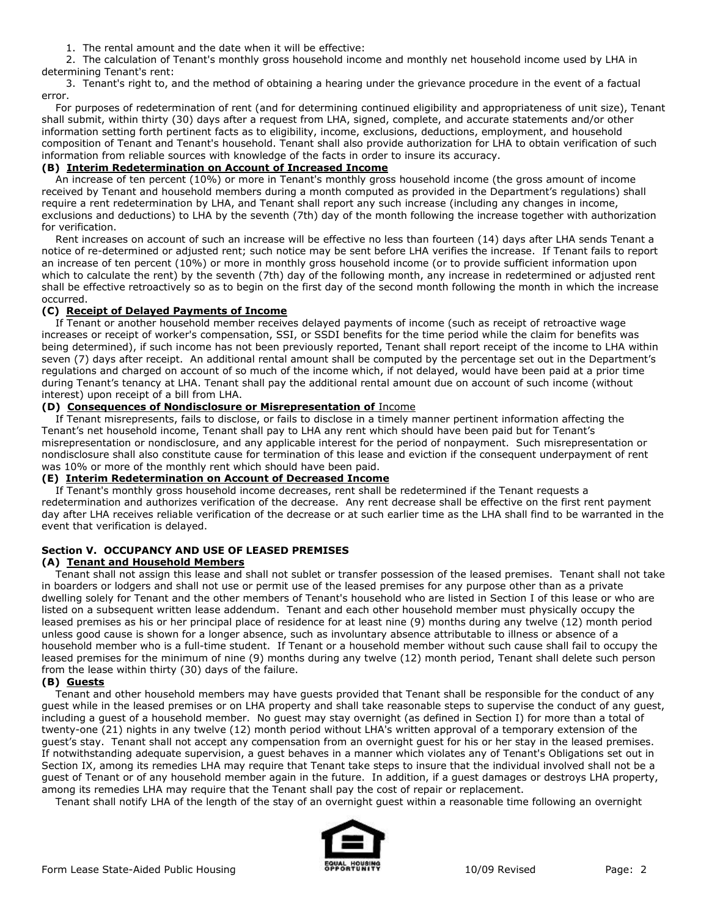1. The rental amount and the date when it will be effective:

 2. The calculation of Tenant's monthly gross household income and monthly net household income used by LHA in determining Tenant's rent:

 3. Tenant's right to, and the method of obtaining a hearing under the grievance procedure in the event of a factual error.

 For purposes of redetermination of rent (and for determining continued eligibility and appropriateness of unit size), Tenant shall submit, within thirty (30) days after a request from LHA, signed, complete, and accurate statements and/or other information setting forth pertinent facts as to eligibility, income, exclusions, deductions, employment, and household composition of Tenant and Tenant's household. Tenant shall also provide authorization for LHA to obtain verification of such information from reliable sources with knowledge of the facts in order to insure its accuracy.

### **(B) Interim Redetermination on Account of Increased Income**

 An increase of ten percent (10%) or more in Tenant's monthly gross household income (the gross amount of income received by Tenant and household members during a month computed as provided in the Department's regulations) shall require a rent redetermination by LHA, and Tenant shall report any such increase (including any changes in income, exclusions and deductions) to LHA by the seventh (7th) day of the month following the increase together with authorization for verification.

 Rent increases on account of such an increase will be effective no less than fourteen (14) days after LHA sends Tenant a notice of re-determined or adjusted rent; such notice may be sent before LHA verifies the increase. If Tenant fails to report an increase of ten percent (10%) or more in monthly gross household income (or to provide sufficient information upon which to calculate the rent) by the seventh (7th) day of the following month, any increase in redetermined or adjusted rent shall be effective retroactively so as to begin on the first day of the second month following the month in which the increase occurred.

### **(C) Receipt of Delayed Payments of Income**

 If Tenant or another household member receives delayed payments of income (such as receipt of retroactive wage increases or receipt of worker's compensation, SSI, or SSDI benefits for the time period while the claim for benefits was being determined), if such income has not been previously reported, Tenant shall report receipt of the income to LHA within seven (7) days after receipt. An additional rental amount shall be computed by the percentage set out in the Department's regulations and charged on account of so much of the income which, if not delayed, would have been paid at a prior time during Tenant's tenancy at LHA. Tenant shall pay the additional rental amount due on account of such income (without interest) upon receipt of a bill from LHA.

### **(D) Consequences of Nondisclosure or Misrepresentation of** Income

 If Tenant misrepresents, fails to disclose, or fails to disclose in a timely manner pertinent information affecting the Tenant's net household income, Tenant shall pay to LHA any rent which should have been paid but for Tenant's misrepresentation or nondisclosure, and any applicable interest for the period of nonpayment. Such misrepresentation or nondisclosure shall also constitute cause for termination of this lease and eviction if the consequent underpayment of rent was 10% or more of the monthly rent which should have been paid.

### **(E) Interim Redetermination on Account of Decreased Income**

 If Tenant's monthly gross household income decreases, rent shall be redetermined if the Tenant requests a redetermination and authorizes verification of the decrease. Any rent decrease shall be effective on the first rent payment day after LHA receives reliable verification of the decrease or at such earlier time as the LHA shall find to be warranted in the event that verification is delayed.

# **Section V. OCCUPANCY AND USE OF LEASED PREMISES**

### **(A) Tenant and Household Members**

 Tenant shall not assign this lease and shall not sublet or transfer possession of the leased premises. Tenant shall not take in boarders or lodgers and shall not use or permit use of the leased premises for any purpose other than as a private dwelling solely for Tenant and the other members of Tenant's household who are listed in Section I of this lease or who are listed on a subsequent written lease addendum. Tenant and each other household member must physically occupy the leased premises as his or her principal place of residence for at least nine (9) months during any twelve (12) month period unless good cause is shown for a longer absence, such as involuntary absence attributable to illness or absence of a household member who is a full-time student. If Tenant or a household member without such cause shall fail to occupy the leased premises for the minimum of nine (9) months during any twelve (12) month period, Tenant shall delete such person from the lease within thirty (30) days of the failure.

### **(B) Guests**

 Tenant and other household members may have guests provided that Tenant shall be responsible for the conduct of any guest while in the leased premises or on LHA property and shall take reasonable steps to supervise the conduct of any guest, including a guest of a household member. No guest may stay overnight (as defined in Section I) for more than a total of twenty-one (21) nights in any twelve (12) month period without LHA's written approval of a temporary extension of the guest's stay. Tenant shall not accept any compensation from an overnight guest for his or her stay in the leased premises. If notwithstanding adequate supervision, a guest behaves in a manner which violates any of Tenant's Obligations set out in Section IX, among its remedies LHA may require that Tenant take steps to insure that the individual involved shall not be a guest of Tenant or of any household member again in the future. In addition, if a guest damages or destroys LHA property, among its remedies LHA may require that the Tenant shall pay the cost of repair or replacement.

Tenant shall notify LHA of the length of the stay of an overnight guest within a reasonable time following an overnight

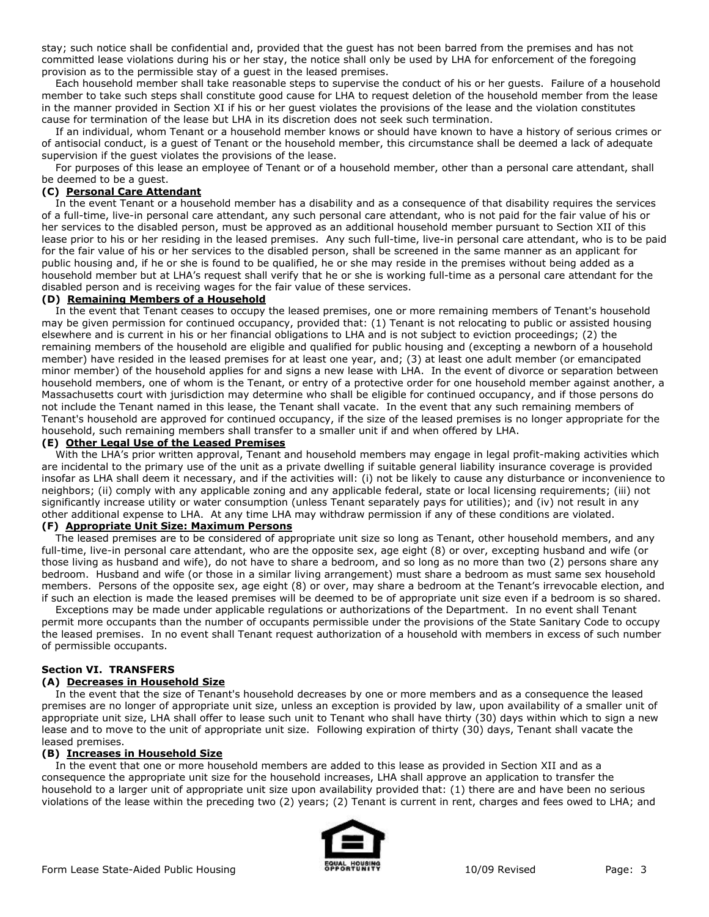stay; such notice shall be confidential and, provided that the guest has not been barred from the premises and has not committed lease violations during his or her stay, the notice shall only be used by LHA for enforcement of the foregoing provision as to the permissible stay of a guest in the leased premises.

 Each household member shall take reasonable steps to supervise the conduct of his or her guests. Failure of a household member to take such steps shall constitute good cause for LHA to request deletion of the household member from the lease in the manner provided in Section XI if his or her guest violates the provisions of the lease and the violation constitutes cause for termination of the lease but LHA in its discretion does not seek such termination.

 If an individual, whom Tenant or a household member knows or should have known to have a history of serious crimes or of antisocial conduct, is a guest of Tenant or the household member, this circumstance shall be deemed a lack of adequate supervision if the guest violates the provisions of the lease.

 For purposes of this lease an employee of Tenant or of a household member, other than a personal care attendant, shall be deemed to be a guest.

### **(C) Personal Care Attendant**

 In the event Tenant or a household member has a disability and as a consequence of that disability requires the services of a full-time, live-in personal care attendant, any such personal care attendant, who is not paid for the fair value of his or her services to the disabled person, must be approved as an additional household member pursuant to Section XII of this lease prior to his or her residing in the leased premises. Any such full-time, live-in personal care attendant, who is to be paid for the fair value of his or her services to the disabled person, shall be screened in the same manner as an applicant for public housing and, if he or she is found to be qualified, he or she may reside in the premises without being added as a household member but at LHA's request shall verify that he or she is working full-time as a personal care attendant for the disabled person and is receiving wages for the fair value of these services.

#### **(D) Remaining Members of a Household**

In the event that Tenant ceases to occupy the leased premises, one or more remaining members of Tenant's household may be given permission for continued occupancy, provided that: (1) Tenant is not relocating to public or assisted housing elsewhere and is current in his or her financial obligations to LHA and is not subject to eviction proceedings; (2) the remaining members of the household are eligible and qualified for public housing and (excepting a newborn of a household member) have resided in the leased premises for at least one year, and; (3) at least one adult member (or emancipated minor member) of the household applies for and signs a new lease with LHA. In the event of divorce or separation between household members, one of whom is the Tenant, or entry of a protective order for one household member against another, a Massachusetts court with jurisdiction may determine who shall be eligible for continued occupancy, and if those persons do not include the Tenant named in this lease, the Tenant shall vacate. In the event that any such remaining members of Tenant's household are approved for continued occupancy, if the size of the leased premises is no longer appropriate for the household, such remaining members shall transfer to a smaller unit if and when offered by LHA.

#### **(E) Other Legal Use of the Leased Premises**

 With the LHA's prior written approval, Tenant and household members may engage in legal profit-making activities which are incidental to the primary use of the unit as a private dwelling if suitable general liability insurance coverage is provided insofar as LHA shall deem it necessary, and if the activities will: (i) not be likely to cause any disturbance or inconvenience to neighbors; (ii) comply with any applicable zoning and any applicable federal, state or local licensing requirements; (iii) not significantly increase utility or water consumption (unless Tenant separately pays for utilities); and (iv) not result in any other additional expense to LHA. At any time LHA may withdraw permission if any of these conditions are violated.

# **(F) Appropriate Unit Size: Maximum Persons**

 The leased premises are to be considered of appropriate unit size so long as Tenant, other household members, and any full-time, live-in personal care attendant, who are the opposite sex, age eight (8) or over, excepting husband and wife (or those living as husband and wife), do not have to share a bedroom, and so long as no more than two (2) persons share any bedroom. Husband and wife (or those in a similar living arrangement) must share a bedroom as must same sex household members. Persons of the opposite sex, age eight (8) or over, may share a bedroom at the Tenant's irrevocable election, and if such an election is made the leased premises will be deemed to be of appropriate unit size even if a bedroom is so shared.

 Exceptions may be made under applicable regulations or authorizations of the Department. In no event shall Tenant permit more occupants than the number of occupants permissible under the provisions of the State Sanitary Code to occupy the leased premises. In no event shall Tenant request authorization of a household with members in excess of such number of permissible occupants.

#### **Section VI. TRANSFERS**

### **(A) Decreases in Household Size**

 In the event that the size of Tenant's household decreases by one or more members and as a consequence the leased premises are no longer of appropriate unit size, unless an exception is provided by law, upon availability of a smaller unit of appropriate unit size, LHA shall offer to lease such unit to Tenant who shall have thirty (30) days within which to sign a new lease and to move to the unit of appropriate unit size. Following expiration of thirty (30) days, Tenant shall vacate the leased premises.

#### **(B) Increases in Household Size**

 In the event that one or more household members are added to this lease as provided in Section XII and as a consequence the appropriate unit size for the household increases, LHA shall approve an application to transfer the household to a larger unit of appropriate unit size upon availability provided that: (1) there are and have been no serious violations of the lease within the preceding two (2) years; (2) Tenant is current in rent, charges and fees owed to LHA; and

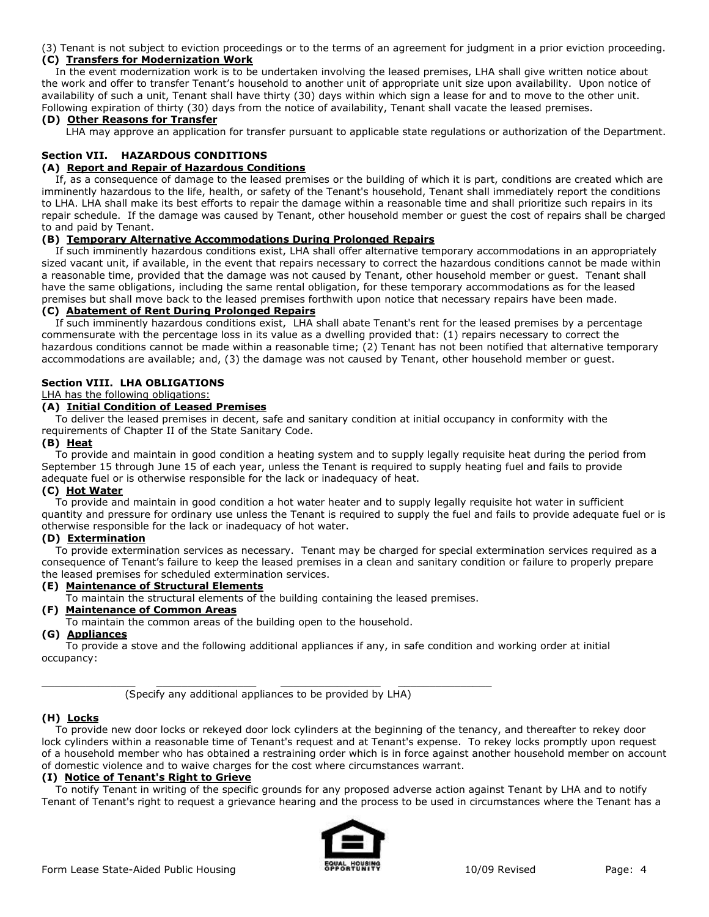(3) Tenant is not subject to eviction proceedings or to the terms of an agreement for judgment in a prior eviction proceeding. **(C) Transfers for Modernization Work**

 In the event modernization work is to be undertaken involving the leased premises, LHA shall give written notice about the work and offer to transfer Tenant's household to another unit of appropriate unit size upon availability. Upon notice of availability of such a unit, Tenant shall have thirty (30) days within which sign a lease for and to move to the other unit. Following expiration of thirty (30) days from the notice of availability, Tenant shall vacate the leased premises.

#### **(D) Other Reasons for Transfer**

LHA may approve an application for transfer pursuant to applicable state regulations or authorization of the Department.

### **Section VII. HAZARDOUS CONDITIONS**

#### **(A) Report and Repair of Hazardous Conditions**

 If, as a consequence of damage to the leased premises or the building of which it is part, conditions are created which are imminently hazardous to the life, health, or safety of the Tenant's household, Tenant shall immediately report the conditions to LHA. LHA shall make its best efforts to repair the damage within a reasonable time and shall prioritize such repairs in its repair schedule. If the damage was caused by Tenant, other household member or guest the cost of repairs shall be charged to and paid by Tenant.

#### **(B) Temporary Alternative Accommodations During Prolonged Repairs**

 If such imminently hazardous conditions exist, LHA shall offer alternative temporary accommodations in an appropriately sized vacant unit, if available, in the event that repairs necessary to correct the hazardous conditions cannot be made within a reasonable time, provided that the damage was not caused by Tenant, other household member or guest. Tenant shall have the same obligations, including the same rental obligation, for these temporary accommodations as for the leased premises but shall move back to the leased premises forthwith upon notice that necessary repairs have been made.

# **(C) Abatement of Rent During Prolonged Repairs**

 If such imminently hazardous conditions exist, LHA shall abate Tenant's rent for the leased premises by a percentage commensurate with the percentage loss in its value as a dwelling provided that: (1) repairs necessary to correct the hazardous conditions cannot be made within a reasonable time; (2) Tenant has not been notified that alternative temporary accommodations are available; and, (3) the damage was not caused by Tenant, other household member or guest.

#### **Section VIII. LHA OBLIGATIONS**

#### LHA has the following obligations:

### **(A) Initial Condition of Leased Premises**

 To deliver the leased premises in decent, safe and sanitary condition at initial occupancy in conformity with the requirements of Chapter II of the State Sanitary Code.

#### **(B) Heat**

 To provide and maintain in good condition a heating system and to supply legally requisite heat during the period from September 15 through June 15 of each year, unless the Tenant is required to supply heating fuel and fails to provide adequate fuel or is otherwise responsible for the lack or inadequacy of heat.

#### **(C) Hot Water**

 To provide and maintain in good condition a hot water heater and to supply legally requisite hot water in sufficient quantity and pressure for ordinary use unless the Tenant is required to supply the fuel and fails to provide adequate fuel or is otherwise responsible for the lack or inadequacy of hot water.

#### **(D) Extermination**

 To provide extermination services as necessary. Tenant may be charged for special extermination services required as a consequence of Tenant's failure to keep the leased premises in a clean and sanitary condition or failure to properly prepare the leased premises for scheduled extermination services.

#### **(E) Maintenance of Structural Elements**

To maintain the structural elements of the building containing the leased premises.

### **(F) Maintenance of Common Areas**

To maintain the common areas of the building open to the household.

## **(G) Appliances**

 To provide a stove and the following additional appliances if any, in safe condition and working order at initial occupancy:

(Specify any additional appliances to be provided by LHA)

#### **(H) Locks**

 To provide new door locks or rekeyed door lock cylinders at the beginning of the tenancy, and thereafter to rekey door lock cylinders within a reasonable time of Tenant's request and at Tenant's expense. To rekey locks promptly upon request of a household member who has obtained a restraining order which is in force against another household member on account of domestic violence and to waive charges for the cost where circumstances warrant.

### **(I) Notice of Tenant's Right to Grieve**

 To notify Tenant in writing of the specific grounds for any proposed adverse action against Tenant by LHA and to notify Tenant of Tenant's right to request a grievance hearing and the process to be used in circumstances where the Tenant has a

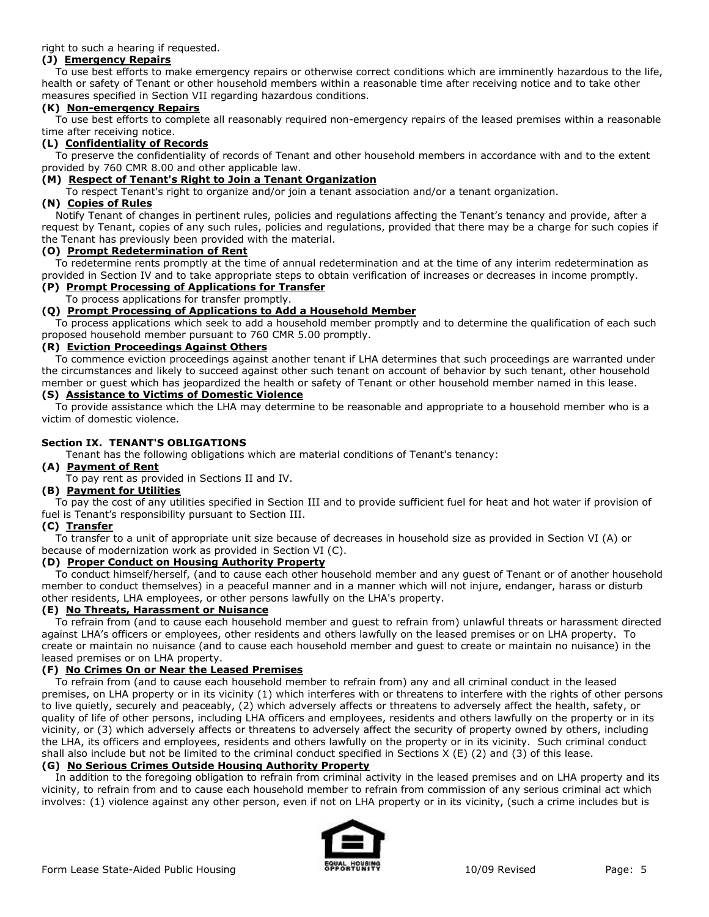right to such a hearing if requested.

### **(J) Emergency Repairs**

 To use best efforts to make emergency repairs or otherwise correct conditions which are imminently hazardous to the life, health or safety of Tenant or other household members within a reasonable time after receiving notice and to take other measures specified in Section VII regarding hazardous conditions.

#### **(K) Non-emergency Repairs**

 To use best efforts to complete all reasonably required non-emergency repairs of the leased premises within a reasonable time after receiving notice.

### **(L) Confidentiality of Records**

 To preserve the confidentiality of records of Tenant and other household members in accordance with and to the extent provided by 760 CMR 8.00 and other applicable law.

### **(M) Respect of Tenant's Right to Join a Tenant Organization**

To respect Tenant's right to organize and/or join a tenant association and/or a tenant organization.

### **(N) Copies of Rules**

 Notify Tenant of changes in pertinent rules, policies and regulations affecting the Tenant's tenancy and provide, after a request by Tenant, copies of any such rules, policies and regulations, provided that there may be a charge for such copies if the Tenant has previously been provided with the material.

### **(O) Prompt Redetermination of Rent**

 To redetermine rents promptly at the time of annual redetermination and at the time of any interim redetermination as provided in Section IV and to take appropriate steps to obtain verification of increases or decreases in income promptly.

# **(P) Prompt Processing of Applications for Transfer**

#### To process applications for transfer promptly. **(Q) Prompt Processing of Applications to Add a Household Member**

 To process applications which seek to add a household member promptly and to determine the qualification of each such proposed household member pursuant to 760 CMR 5.00 promptly.

### **(R) Eviction Proceedings Against Others**

 To commence eviction proceedings against another tenant if LHA determines that such proceedings are warranted under the circumstances and likely to succeed against other such tenant on account of behavior by such tenant, other household member or guest which has jeopardized the health or safety of Tenant or other household member named in this lease.

#### **(S) Assistance to Victims of Domestic Violence**

 To provide assistance which the LHA may determine to be reasonable and appropriate to a household member who is a victim of domestic violence.

### **Section IX. TENANT'S OBLIGATIONS**

Tenant has the following obligations which are material conditions of Tenant's tenancy:

### **(A) Payment of Rent**

To pay rent as provided in Sections II and IV.

### **(B) Payment for Utilities**

 To pay the cost of any utilities specified in Section III and to provide sufficient fuel for heat and hot water if provision of fuel is Tenant's responsibility pursuant to Section III.

### **(C) Transfer**

 To transfer to a unit of appropriate unit size because of decreases in household size as provided in Section VI (A) or because of modernization work as provided in Section VI (C).

#### **(D) Proper Conduct on Housing Authority Property**

 To conduct himself/herself, (and to cause each other household member and any guest of Tenant or of another household member to conduct themselves) in a peaceful manner and in a manner which will not injure, endanger, harass or disturb other residents, LHA employees, or other persons lawfully on the LHA's property.

#### **(E) No Threats, Harassment or Nuisance**

 To refrain from (and to cause each household member and guest to refrain from) unlawful threats or harassment directed against LHA's officers or employees, other residents and others lawfully on the leased premises or on LHA property. To create or maintain no nuisance (and to cause each household member and guest to create or maintain no nuisance) in the leased premises or on LHA property.

#### **(F) No Crimes On or Near the Leased Premises**

 To refrain from (and to cause each household member to refrain from) any and all criminal conduct in the leased premises, on LHA property or in its vicinity (1) which interferes with or threatens to interfere with the rights of other persons to live quietly, securely and peaceably, (2) which adversely affects or threatens to adversely affect the health, safety, or quality of life of other persons, including LHA officers and employees, residents and others lawfully on the property or in its vicinity, or (3) which adversely affects or threatens to adversely affect the security of property owned by others, including the LHA, its officers and employees, residents and others lawfully on the property or in its vicinity. Such criminal conduct shall also include but not be limited to the criminal conduct specified in Sections X (E) (2) and (3) of this lease.

### **(G) No Serious Crimes Outside Housing Authority Property**

 In addition to the foregoing obligation to refrain from criminal activity in the leased premises and on LHA property and its vicinity, to refrain from and to cause each household member to refrain from commission of any serious criminal act which involves: (1) violence against any other person, even if not on LHA property or in its vicinity, (such a crime includes but is

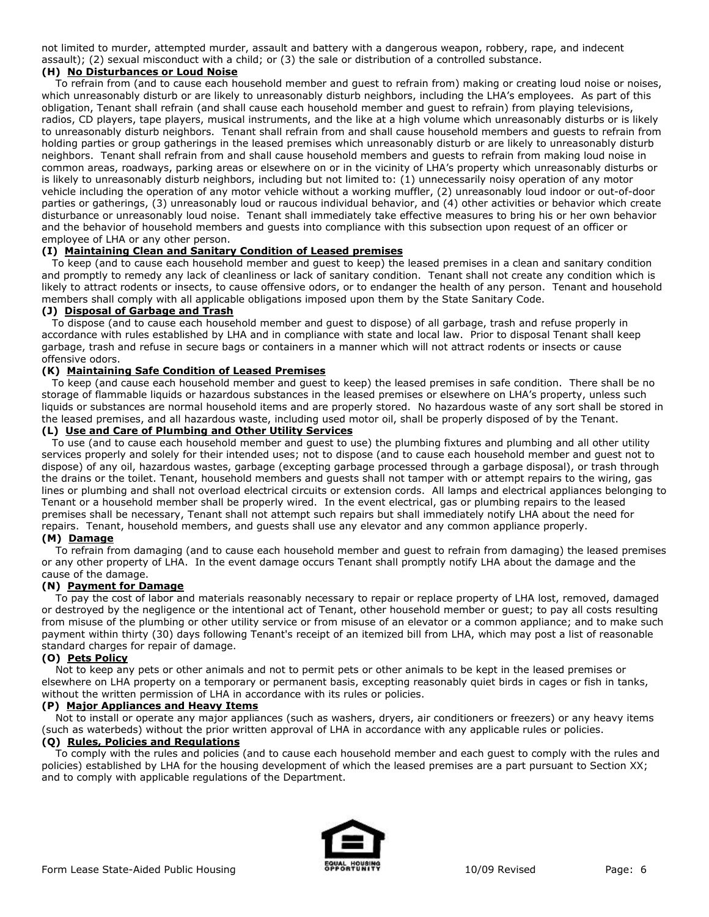not limited to murder, attempted murder, assault and battery with a dangerous weapon, robbery, rape, and indecent assault); (2) sexual misconduct with a child; or (3) the sale or distribution of a controlled substance.

### **(H) No Disturbances or Loud Noise**

 To refrain from (and to cause each household member and guest to refrain from) making or creating loud noise or noises, which unreasonably disturb or are likely to unreasonably disturb neighbors, including the LHA's employees. As part of this obligation, Tenant shall refrain (and shall cause each household member and guest to refrain) from playing televisions, radios, CD players, tape players, musical instruments, and the like at a high volume which unreasonably disturbs or is likely to unreasonably disturb neighbors. Tenant shall refrain from and shall cause household members and guests to refrain from holding parties or group gatherings in the leased premises which unreasonably disturb or are likely to unreasonably disturb neighbors. Tenant shall refrain from and shall cause household members and guests to refrain from making loud noise in common areas, roadways, parking areas or elsewhere on or in the vicinity of LHA's property which unreasonably disturbs or is likely to unreasonably disturb neighbors, including but not limited to: (1) unnecessarily noisy operation of any motor vehicle including the operation of any motor vehicle without a working muffler, (2) unreasonably loud indoor or out-of-door parties or gatherings, (3) unreasonably loud or raucous individual behavior, and (4) other activities or behavior which create disturbance or unreasonably loud noise. Tenant shall immediately take effective measures to bring his or her own behavior and the behavior of household members and guests into compliance with this subsection upon request of an officer or employee of LHA or any other person.

### **(I) Maintaining Clean and Sanitary Condition of Leased premises**

 To keep (and to cause each household member and guest to keep) the leased premises in a clean and sanitary condition and promptly to remedy any lack of cleanliness or lack of sanitary condition. Tenant shall not create any condition which is likely to attract rodents or insects, to cause offensive odors, or to endanger the health of any person. Tenant and household members shall comply with all applicable obligations imposed upon them by the State Sanitary Code.

### **(J) Disposal of Garbage and Trash**

 To dispose (and to cause each household member and guest to dispose) of all garbage, trash and refuse properly in accordance with rules established by LHA and in compliance with state and local law. Prior to disposal Tenant shall keep garbage, trash and refuse in secure bags or containers in a manner which will not attract rodents or insects or cause offensive odors.

### **(K) Maintaining Safe Condition of Leased Premises**

 To keep (and cause each household member and guest to keep) the leased premises in safe condition. There shall be no storage of flammable liquids or hazardous substances in the leased premises or elsewhere on LHA's property, unless such liquids or substances are normal household items and are properly stored. No hazardous waste of any sort shall be stored in the leased premises, and all hazardous waste, including used motor oil, shall be properly disposed of by the Tenant.

### **(L) Use and Care of Plumbing and Other Utility Services**

 To use (and to cause each household member and guest to use) the plumbing fixtures and plumbing and all other utility services properly and solely for their intended uses; not to dispose (and to cause each household member and guest not to dispose) of any oil, hazardous wastes, garbage (excepting garbage processed through a garbage disposal), or trash through the drains or the toilet. Tenant, household members and guests shall not tamper with or attempt repairs to the wiring, gas lines or plumbing and shall not overload electrical circuits or extension cords. All lamps and electrical appliances belonging to Tenant or a household member shall be properly wired. In the event electrical, gas or plumbing repairs to the leased premises shall be necessary, Tenant shall not attempt such repairs but shall immediately notify LHA about the need for repairs. Tenant, household members, and guests shall use any elevator and any common appliance properly.

### **(M) Damage**

 To refrain from damaging (and to cause each household member and guest to refrain from damaging) the leased premises or any other property of LHA. In the event damage occurs Tenant shall promptly notify LHA about the damage and the cause of the damage.

### **(N) Payment for Damage**

 To pay the cost of labor and materials reasonably necessary to repair or replace property of LHA lost, removed, damaged or destroyed by the negligence or the intentional act of Tenant, other household member or guest; to pay all costs resulting from misuse of the plumbing or other utility service or from misuse of an elevator or a common appliance; and to make such payment within thirty (30) days following Tenant's receipt of an itemized bill from LHA, which may post a list of reasonable standard charges for repair of damage.

#### **(O) Pets Policy**

 Not to keep any pets or other animals and not to permit pets or other animals to be kept in the leased premises or elsewhere on LHA property on a temporary or permanent basis, excepting reasonably quiet birds in cages or fish in tanks, without the written permission of LHA in accordance with its rules or policies.

#### **(P) Major Appliances and Heavy Items**

 Not to install or operate any major appliances (such as washers, dryers, air conditioners or freezers) or any heavy items (such as waterbeds) without the prior written approval of LHA in accordance with any applicable rules or policies.

### **(Q) Rules, Policies and Regulations**

 To comply with the rules and policies (and to cause each household member and each guest to comply with the rules and policies) established by LHA for the housing development of which the leased premises are a part pursuant to Section XX; and to comply with applicable regulations of the Department.

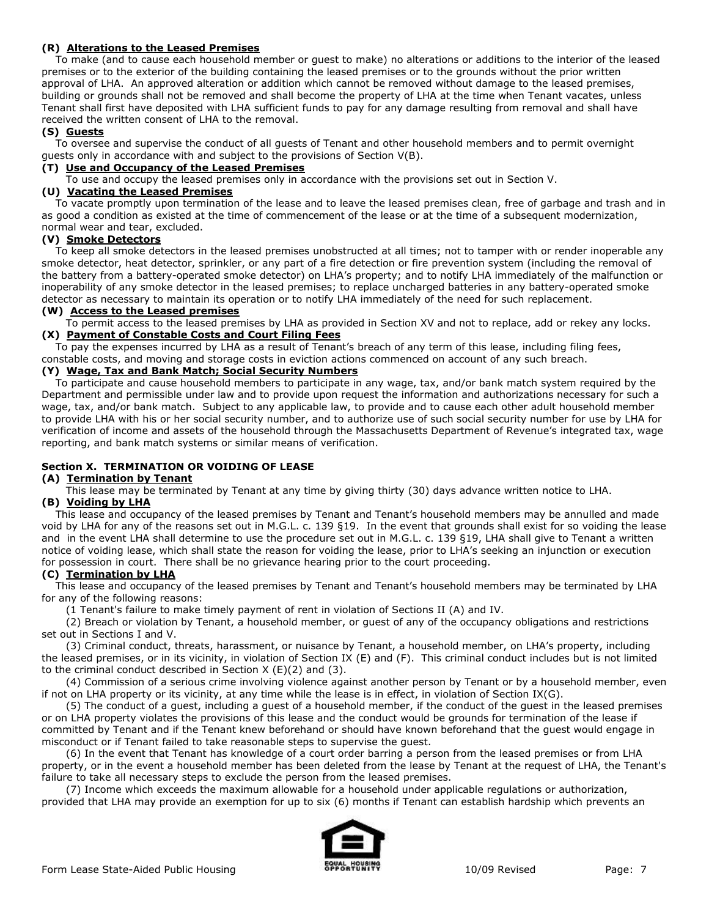### **(R) Alterations to the Leased Premises**

 To make (and to cause each household member or guest to make) no alterations or additions to the interior of the leased premises or to the exterior of the building containing the leased premises or to the grounds without the prior written approval of LHA. An approved alteration or addition which cannot be removed without damage to the leased premises, building or grounds shall not be removed and shall become the property of LHA at the time when Tenant vacates, unless Tenant shall first have deposited with LHA sufficient funds to pay for any damage resulting from removal and shall have received the written consent of LHA to the removal.

### **(S) Guests**

 To oversee and supervise the conduct of all guests of Tenant and other household members and to permit overnight guests only in accordance with and subject to the provisions of Section V(B).

### **(T) Use and Occupancy of the Leased Premises**

To use and occupy the leased premises only in accordance with the provisions set out in Section V.

### **(U) Vacating the Leased Premises**

 To vacate promptly upon termination of the lease and to leave the leased premises clean, free of garbage and trash and in as good a condition as existed at the time of commencement of the lease or at the time of a subsequent modernization, normal wear and tear, excluded.

### **(V) Smoke Detectors**

 To keep all smoke detectors in the leased premises unobstructed at all times; not to tamper with or render inoperable any smoke detector, heat detector, sprinkler, or any part of a fire detection or fire prevention system (including the removal of the battery from a battery-operated smoke detector) on LHA's property; and to notify LHA immediately of the malfunction or inoperability of any smoke detector in the leased premises; to replace uncharged batteries in any battery-operated smoke detector as necessary to maintain its operation or to notify LHA immediately of the need for such replacement.

#### **(W) Access to the Leased premises**

To permit access to the leased premises by LHA as provided in Section XV and not to replace, add or rekey any locks.

### **(X) Payment of Constable Costs and Court Filing Fees**

To pay the expenses incurred by LHA as a result of Tenant's breach of any term of this lease, including filing fees,

# constable costs, and moving and storage costs in eviction actions commenced on account of any such breach.

# **(Y) Wage, Tax and Bank Match; Social Security Numbers**

 To participate and cause household members to participate in any wage, tax, and/or bank match system required by the Department and permissible under law and to provide upon request the information and authorizations necessary for such a wage, tax, and/or bank match. Subject to any applicable law, to provide and to cause each other adult household member to provide LHA with his or her social security number, and to authorize use of such social security number for use by LHA for verification of income and assets of the household through the Massachusetts Department of Revenue's integrated tax, wage reporting, and bank match systems or similar means of verification.

### **Section X. TERMINATION OR VOIDING OF LEASE**

### **(A) Termination by Tenant**

This lease may be terminated by Tenant at any time by giving thirty (30) days advance written notice to LHA.

### **(B) Voiding by LHA**

 This lease and occupancy of the leased premises by Tenant and Tenant's household members may be annulled and made void by LHA for any of the reasons set out in M.G.L. c. 139 §19. In the event that grounds shall exist for so voiding the lease and in the event LHA shall determine to use the procedure set out in M.G.L. c. 139 §19, LHA shall give to Tenant a written notice of voiding lease, which shall state the reason for voiding the lease, prior to LHA's seeking an injunction or execution for possession in court. There shall be no grievance hearing prior to the court proceeding.

#### **(C) Termination by LHA**

 This lease and occupancy of the leased premises by Tenant and Tenant's household members may be terminated by LHA for any of the following reasons:

(1 Tenant's failure to make timely payment of rent in violation of Sections II (A) and IV.

 (2) Breach or violation by Tenant, a household member, or guest of any of the occupancy obligations and restrictions set out in Sections I and V.

 (3) Criminal conduct, threats, harassment, or nuisance by Tenant, a household member, on LHA's property, including the leased premises, or in its vicinity, in violation of Section IX (E) and (F). This criminal conduct includes but is not limited to the criminal conduct described in Section  $X(E)(2)$  and  $(3)$ .

 (4) Commission of a serious crime involving violence against another person by Tenant or by a household member, even if not on LHA property or its vicinity, at any time while the lease is in effect, in violation of Section IX(G).

 (5) The conduct of a guest, including a guest of a household member, if the conduct of the guest in the leased premises or on LHA property violates the provisions of this lease and the conduct would be grounds for termination of the lease if committed by Tenant and if the Tenant knew beforehand or should have known beforehand that the guest would engage in misconduct or if Tenant failed to take reasonable steps to supervise the guest.

 (6) In the event that Tenant has knowledge of a court order barring a person from the leased premises or from LHA property, or in the event a household member has been deleted from the lease by Tenant at the request of LHA, the Tenant's failure to take all necessary steps to exclude the person from the leased premises.

 (7) Income which exceeds the maximum allowable for a household under applicable regulations or authorization, provided that LHA may provide an exemption for up to six (6) months if Tenant can establish hardship which prevents an

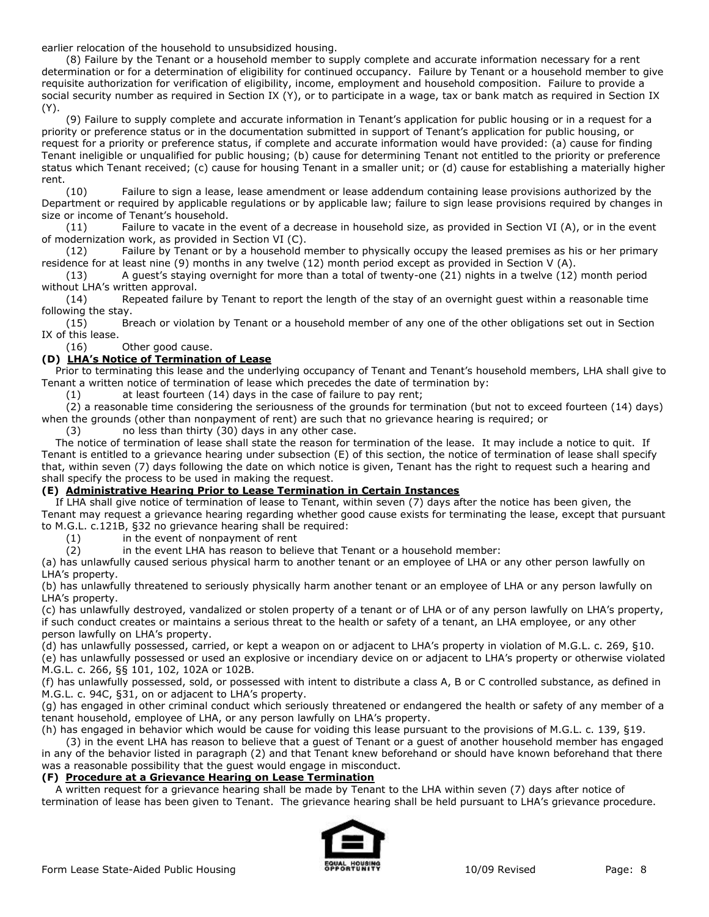earlier relocation of the household to unsubsidized housing.

 (8) Failure by the Tenant or a household member to supply complete and accurate information necessary for a rent determination or for a determination of eligibility for continued occupancy. Failure by Tenant or a household member to give requisite authorization for verification of eligibility, income, employment and household composition. Failure to provide a social security number as required in Section IX (Y), or to participate in a wage, tax or bank match as required in Section IX (Y).

 (9) Failure to supply complete and accurate information in Tenant's application for public housing or in a request for a priority or preference status or in the documentation submitted in support of Tenant's application for public housing, or request for a priority or preference status, if complete and accurate information would have provided: (a) cause for finding Tenant ineligible or unqualified for public housing; (b) cause for determining Tenant not entitled to the priority or preference status which Tenant received; (c) cause for housing Tenant in a smaller unit; or (d) cause for establishing a materially higher rent.

 (10) Failure to sign a lease, lease amendment or lease addendum containing lease provisions authorized by the Department or required by applicable regulations or by applicable law; failure to sign lease provisions required by changes in size or income of Tenant's household.

 (11) Failure to vacate in the event of a decrease in household size, as provided in Section VI (A), or in the event of modernization work, as provided in Section VI (C).

 (12) Failure by Tenant or by a household member to physically occupy the leased premises as his or her primary residence for at least nine (9) months in any twelve (12) month period except as provided in Section V (A).

 (13) A guest's staying overnight for more than a total of twenty-one (21) nights in a twelve (12) month period without LHA's written approval.

 (14) Repeated failure by Tenant to report the length of the stay of an overnight guest within a reasonable time following the stay.

 (15) Breach or violation by Tenant or a household member of any one of the other obligations set out in Section IX of this lease.

(16) Other good cause.

### **(D) LHA's Notice of Termination of Lease**

 Prior to terminating this lease and the underlying occupancy of Tenant and Tenant's household members, LHA shall give to Tenant a written notice of termination of lease which precedes the date of termination by:

(1) at least fourteen (14) days in the case of failure to pay rent;

 (2) a reasonable time considering the seriousness of the grounds for termination (but not to exceed fourteen (14) days) when the grounds (other than nonpayment of rent) are such that no grievance hearing is required; or

(3) no less than thirty (30) days in any other case.

 The notice of termination of lease shall state the reason for termination of the lease. It may include a notice to quit. If Tenant is entitled to a grievance hearing under subsection (E) of this section, the notice of termination of lease shall specify that, within seven (7) days following the date on which notice is given, Tenant has the right to request such a hearing and shall specify the process to be used in making the request.

### **(E) Administrative Hearing Prior to Lease Termination in Certain Instances**

 If LHA shall give notice of termination of lease to Tenant, within seven (7) days after the notice has been given, the Tenant may request a grievance hearing regarding whether good cause exists for terminating the lease, except that pursuant to M.G.L. c.121B, §32 no grievance hearing shall be required:<br>(1) in the event of nonpayment of rent

in the event of nonpayment of rent

(2) in the event LHA has reason to believe that Tenant or a household member:

(a) has unlawfully caused serious physical harm to another tenant or an employee of LHA or any other person lawfully on LHA's property.

(b) has unlawfully threatened to seriously physically harm another tenant or an employee of LHA or any person lawfully on LHA's property.

(c) has unlawfully destroyed, vandalized or stolen property of a tenant or of LHA or of any person lawfully on LHA's property, if such conduct creates or maintains a serious threat to the health or safety of a tenant, an LHA employee, or any other person lawfully on LHA's property.

(d) has unlawfully possessed, carried, or kept a weapon on or adjacent to LHA's property in violation of M.G.L. c. 269, §10. (e) has unlawfully possessed or used an explosive or incendiary device on or adjacent to LHA's property or otherwise violated M.G.L. c. 266, §§ 101, 102, 102A or 102B.

(f) has unlawfully possessed, sold, or possessed with intent to distribute a class A, B or C controlled substance, as defined in M.G.L. c. 94C, §31, on or adjacent to LHA's property.

(g) has engaged in other criminal conduct which seriously threatened or endangered the health or safety of any member of a tenant household, employee of LHA, or any person lawfully on LHA's property.

(h) has engaged in behavior which would be cause for voiding this lease pursuant to the provisions of M.G.L. c. 139, §19.

 (3) in the event LHA has reason to believe that a guest of Tenant or a guest of another household member has engaged in any of the behavior listed in paragraph (2) and that Tenant knew beforehand or should have known beforehand that there was a reasonable possibility that the guest would engage in misconduct.

### **(F) Procedure at a Grievance Hearing on Lease Termination**

 A written request for a grievance hearing shall be made by Tenant to the LHA within seven (7) days after notice of termination of lease has been given to Tenant. The grievance hearing shall be held pursuant to LHA's grievance procedure.

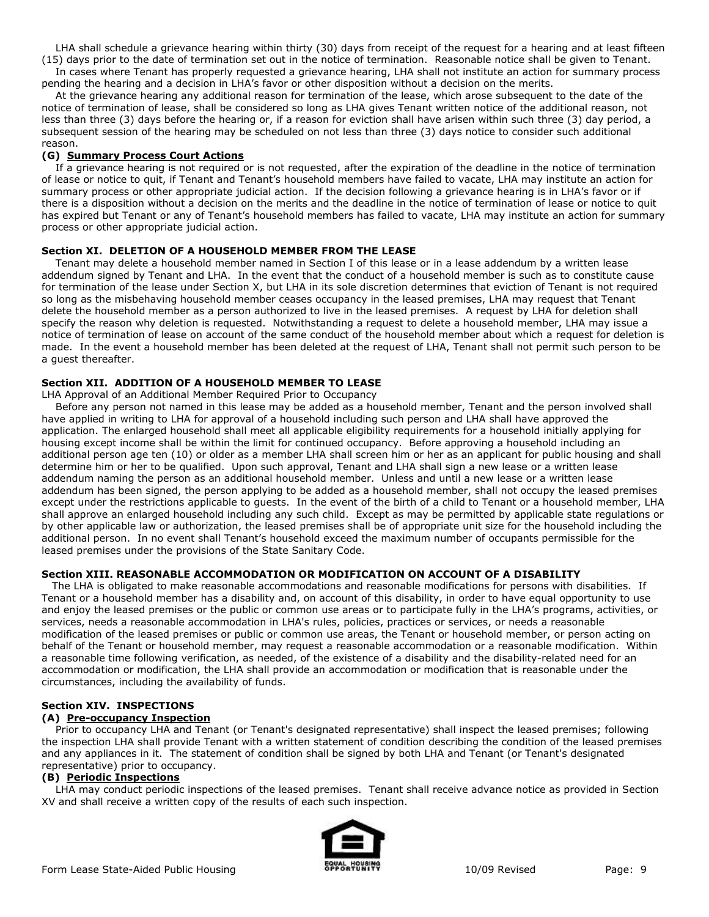LHA shall schedule a grievance hearing within thirty (30) days from receipt of the request for a hearing and at least fifteen (15) days prior to the date of termination set out in the notice of termination. Reasonable notice shall be given to Tenant.

 In cases where Tenant has properly requested a grievance hearing, LHA shall not institute an action for summary process pending the hearing and a decision in LHA's favor or other disposition without a decision on the merits.

 At the grievance hearing any additional reason for termination of the lease, which arose subsequent to the date of the notice of termination of lease, shall be considered so long as LHA gives Tenant written notice of the additional reason, not less than three (3) days before the hearing or, if a reason for eviction shall have arisen within such three (3) day period, a subsequent session of the hearing may be scheduled on not less than three (3) days notice to consider such additional reason.

### **(G) Summary Process Court Actions**

 If a grievance hearing is not required or is not requested, after the expiration of the deadline in the notice of termination of lease or notice to quit, if Tenant and Tenant's household members have failed to vacate, LHA may institute an action for summary process or other appropriate judicial action. If the decision following a grievance hearing is in LHA's favor or if there is a disposition without a decision on the merits and the deadline in the notice of termination of lease or notice to quit has expired but Tenant or any of Tenant's household members has failed to vacate, LHA may institute an action for summary process or other appropriate judicial action.

### **Section XI. DELETION OF A HOUSEHOLD MEMBER FROM THE LEASE**

 Tenant may delete a household member named in Section I of this lease or in a lease addendum by a written lease addendum signed by Tenant and LHA. In the event that the conduct of a household member is such as to constitute cause for termination of the lease under Section X, but LHA in its sole discretion determines that eviction of Tenant is not required so long as the misbehaving household member ceases occupancy in the leased premises, LHA may request that Tenant delete the household member as a person authorized to live in the leased premises. A request by LHA for deletion shall specify the reason why deletion is requested. Notwithstanding a request to delete a household member, LHA may issue a notice of termination of lease on account of the same conduct of the household member about which a request for deletion is made. In the event a household member has been deleted at the request of LHA, Tenant shall not permit such person to be a guest thereafter.

### **Section XII. ADDITION OF A HOUSEHOLD MEMBER TO LEASE**

LHA Approval of an Additional Member Required Prior to Occupancy

 Before any person not named in this lease may be added as a household member, Tenant and the person involved shall have applied in writing to LHA for approval of a household including such person and LHA shall have approved the application. The enlarged household shall meet all applicable eligibility requirements for a household initially applying for housing except income shall be within the limit for continued occupancy. Before approving a household including an additional person age ten (10) or older as a member LHA shall screen him or her as an applicant for public housing and shall determine him or her to be qualified. Upon such approval, Tenant and LHA shall sign a new lease or a written lease addendum naming the person as an additional household member. Unless and until a new lease or a written lease addendum has been signed, the person applying to be added as a household member, shall not occupy the leased premises except under the restrictions applicable to guests. In the event of the birth of a child to Tenant or a household member, LHA shall approve an enlarged household including any such child. Except as may be permitted by applicable state regulations or by other applicable law or authorization, the leased premises shall be of appropriate unit size for the household including the additional person. In no event shall Tenant's household exceed the maximum number of occupants permissible for the leased premises under the provisions of the State Sanitary Code.

#### **Section XIII. REASONABLE ACCOMMODATION OR MODIFICATION ON ACCOUNT OF A DISABILITY**

 The LHA is obligated to make reasonable accommodations and reasonable modifications for persons with disabilities. If Tenant or a household member has a disability and, on account of this disability, in order to have equal opportunity to use and enjoy the leased premises or the public or common use areas or to participate fully in the LHA's programs, activities, or services, needs a reasonable accommodation in LHA's rules, policies, practices or services, or needs a reasonable modification of the leased premises or public or common use areas, the Tenant or household member, or person acting on behalf of the Tenant or household member, may request a reasonable accommodation or a reasonable modification. Within a reasonable time following verification, as needed, of the existence of a disability and the disability-related need for an accommodation or modification, the LHA shall provide an accommodation or modification that is reasonable under the circumstances, including the availability of funds.

### **Section XIV. INSPECTIONS**

### **(A) Pre-occupancy Inspection**

 Prior to occupancy LHA and Tenant (or Tenant's designated representative) shall inspect the leased premises; following the inspection LHA shall provide Tenant with a written statement of condition describing the condition of the leased premises and any appliances in it. The statement of condition shall be signed by both LHA and Tenant (or Tenant's designated representative) prior to occupancy.

#### **(B) Periodic Inspections**

 LHA may conduct periodic inspections of the leased premises. Tenant shall receive advance notice as provided in Section XV and shall receive a written copy of the results of each such inspection.

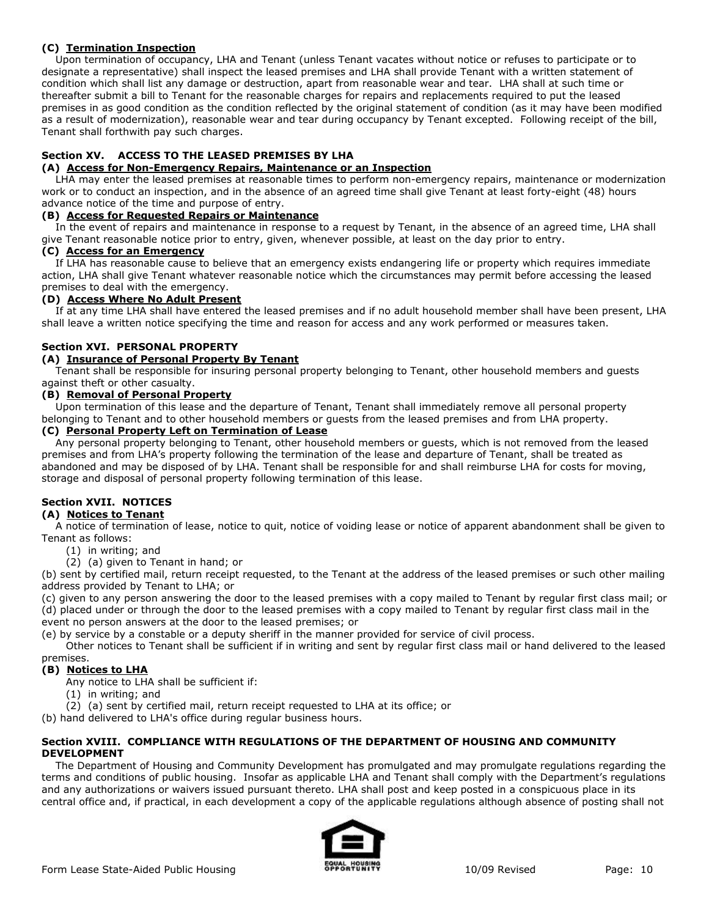### **(C) Termination Inspection**

 Upon termination of occupancy, LHA and Tenant (unless Tenant vacates without notice or refuses to participate or to designate a representative) shall inspect the leased premises and LHA shall provide Tenant with a written statement of condition which shall list any damage or destruction, apart from reasonable wear and tear. LHA shall at such time or thereafter submit a bill to Tenant for the reasonable charges for repairs and replacements required to put the leased premises in as good condition as the condition reflected by the original statement of condition (as it may have been modified as a result of modernization), reasonable wear and tear during occupancy by Tenant excepted. Following receipt of the bill, Tenant shall forthwith pay such charges.

# **Section XV. ACCESS TO THE LEASED PREMISES BY LHA**

### **(A) Access for Non-Emergency Repairs, Maintenance or an Inspection**

 LHA may enter the leased premises at reasonable times to perform non-emergency repairs, maintenance or modernization work or to conduct an inspection, and in the absence of an agreed time shall give Tenant at least forty-eight (48) hours advance notice of the time and purpose of entry.

### **(B) Access for Requested Repairs or Maintenance**

 In the event of repairs and maintenance in response to a request by Tenant, in the absence of an agreed time, LHA shall give Tenant reasonable notice prior to entry, given, whenever possible, at least on the day prior to entry.

### **(C) Access for an Emergency**

 If LHA has reasonable cause to believe that an emergency exists endangering life or property which requires immediate action, LHA shall give Tenant whatever reasonable notice which the circumstances may permit before accessing the leased premises to deal with the emergency.

### **(D) Access Where No Adult Present**

 If at any time LHA shall have entered the leased premises and if no adult household member shall have been present, LHA shall leave a written notice specifying the time and reason for access and any work performed or measures taken.

# **Section XVI. PERSONAL PROPERTY**

### **(A) Insurance of Personal Property By Tenant**

 Tenant shall be responsible for insuring personal property belonging to Tenant, other household members and guests against theft or other casualty.

### **(B) Removal of Personal Property**

 Upon termination of this lease and the departure of Tenant, Tenant shall immediately remove all personal property belonging to Tenant and to other household members or guests from the leased premises and from LHA property.

### **(C) Personal Property Left on Termination of Lease**

 Any personal property belonging to Tenant, other household members or guests, which is not removed from the leased premises and from LHA's property following the termination of the lease and departure of Tenant, shall be treated as abandoned and may be disposed of by LHA. Tenant shall be responsible for and shall reimburse LHA for costs for moving, storage and disposal of personal property following termination of this lease.

# **Section XVII. NOTICES**

# **(A) Notices to Tenant**

 A notice of termination of lease, notice to quit, notice of voiding lease or notice of apparent abandonment shall be given to Tenant as follows:

- (1) in writing; and
- (2) (a) given to Tenant in hand; or

(b) sent by certified mail, return receipt requested, to the Tenant at the address of the leased premises or such other mailing address provided by Tenant to LHA; or

(c) given to any person answering the door to the leased premises with a copy mailed to Tenant by regular first class mail; or (d) placed under or through the door to the leased premises with a copy mailed to Tenant by regular first class mail in the event no person answers at the door to the leased premises; or

(e) by service by a constable or a deputy sheriff in the manner provided for service of civil process.

 Other notices to Tenant shall be sufficient if in writing and sent by regular first class mail or hand delivered to the leased premises.

### **(B) Notices to LHA**

Any notice to LHA shall be sufficient if:

- (1) in writing; and
- (2) (a) sent by certified mail, return receipt requested to LHA at its office; or

(b) hand delivered to LHA's office during regular business hours.

#### **Section XVIII. COMPLIANCE WITH REGULATIONS OF THE DEPARTMENT OF HOUSING AND COMMUNITY DEVELOPMENT**

 The Department of Housing and Community Development has promulgated and may promulgate regulations regarding the terms and conditions of public housing. Insofar as applicable LHA and Tenant shall comply with the Department's regulations and any authorizations or waivers issued pursuant thereto. LHA shall post and keep posted in a conspicuous place in its central office and, if practical, in each development a copy of the applicable regulations although absence of posting shall not